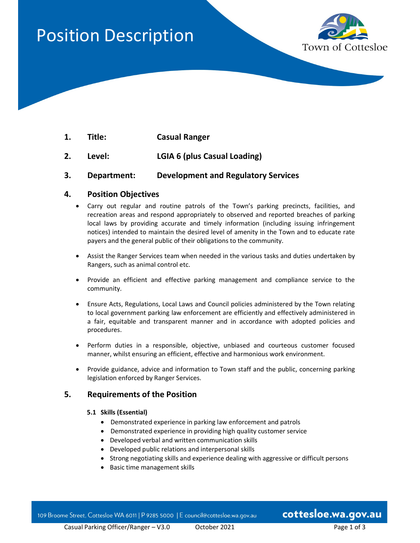# Position Description



- 1. Title: Casual Ranger
- 2. Level: LGIA 6 (plus Casual Loading)
- 3. Department: Development and Regulatory Services

# 4. Position Objectives

- Carry out regular and routine patrols of the Town's parking precincts, facilities, and recreation areas and respond appropriately to observed and reported breaches of parking local laws by providing accurate and timely information (including issuing infringement notices) intended to maintain the desired level of amenity in the Town and to educate rate payers and the general public of their obligations to the community.
- Assist the Ranger Services team when needed in the various tasks and duties undertaken by Rangers, such as animal control etc.
- Provide an efficient and effective parking management and compliance service to the community.
- Ensure Acts, Regulations, Local Laws and Council policies administered by the Town relating to local government parking law enforcement are efficiently and effectively administered in a fair, equitable and transparent manner and in accordance with adopted policies and procedures.
- Perform duties in a responsible, objective, unbiased and courteous customer focused manner, whilst ensuring an efficient, effective and harmonious work environment.
- Provide guidance, advice and information to Town staff and the public, concerning parking legislation enforced by Ranger Services.

# 5. Requirements of the Position

#### 5.1 Skills (Essential)

- Demonstrated experience in parking law enforcement and patrols
- Demonstrated experience in providing high quality customer service
- Developed verbal and written communication skills
- Developed public relations and interpersonal skills
- Strong negotiating skills and experience dealing with aggressive or difficult persons
- Basic time management skills

109 Broome Street, Cottesloe WA 6011 | P 9285 5000 | E council@cottesloe.wa.gov.au

cottesloe.wa.gov.au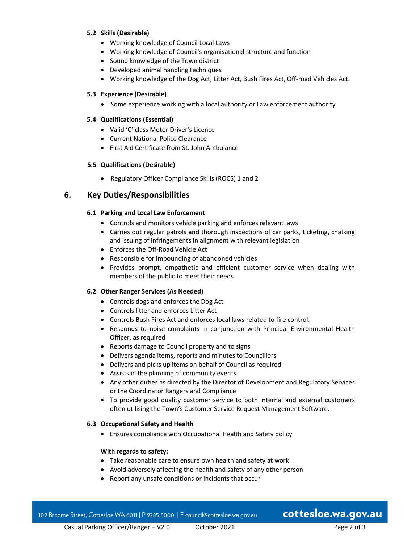#### 5.2 Skills (Desirable)

- Working knowledge of Council Local Laws
- Working knowledge of Council's organisational structure and function
- Sound knowledge of the Town district
- Developed animal handling techniques
- Working knowledge of the Dog Act, Litter Act, Bush Fires Act, Off-road Vehicles Act.

#### 5.3 Experience (Desirable)

• Some experience working with a local authority or Law enforcement authority

#### 5.4 Qualifications (Essential)

- Valid 'C' class Motor Driver's Licence
- Current National Police Clearance
- First Aid Certificate from St. John Ambulance

#### 5.5 Qualifications (Desirable)

• Regulatory Officer Compliance Skills (ROCS) 1 and 2

# 6. Key Duties/Responsibilities

#### 6.1 Parking and Local Law Enforcement

- Controls and monitors vehicle parking and enforces relevant laws
- Carries out regular patrols and thorough inspections of car parks, ticketing, chalking and issuing of infringements in alignment with relevant legislation
- Enforces the Off-Road Vehicle Act
- Responsible for impounding of abandoned vehicles
- Provides prompt, empathetic and efficient customer service when dealing with members of the public to meet their needs

#### 6.2 Other Ranger Services (As Needed)

- Controls dogs and enforces the Dog Act
- Controls litter and enforces Litter Act
- Controls Bush Fires Act and enforces local laws related to fire control.
- Responds to noise complaints in conjunction with Principal Environmental Health Officer, as required
- Reports damage to Council property and to signs
- Delivers agenda items, reports and minutes to Councillors
- Delivers and picks up items on behalf of Council as required
- Assists in the planning of community events.
- Any other duties as directed by the Director of Development and Regulatory Services or the Coordinator Rangers and Compliance
- To provide good quality customer service to both internal and external customers often utilising the Town's Customer Service Request Management Software.

#### 6.3 Occupational Safety and Health

Ensures compliance with Occupational Health and Safety policy

#### With regards to safety:

- Take reasonable care to ensure own health and safety at work
- Avoid adversely affecting the health and safety of any other person
- Report any unsafe conditions or incidents that occur

# cottesloe.wa.gov.au

Casual Parking Officer/Ranger – V2.0 October 2021 Page 2 of 3